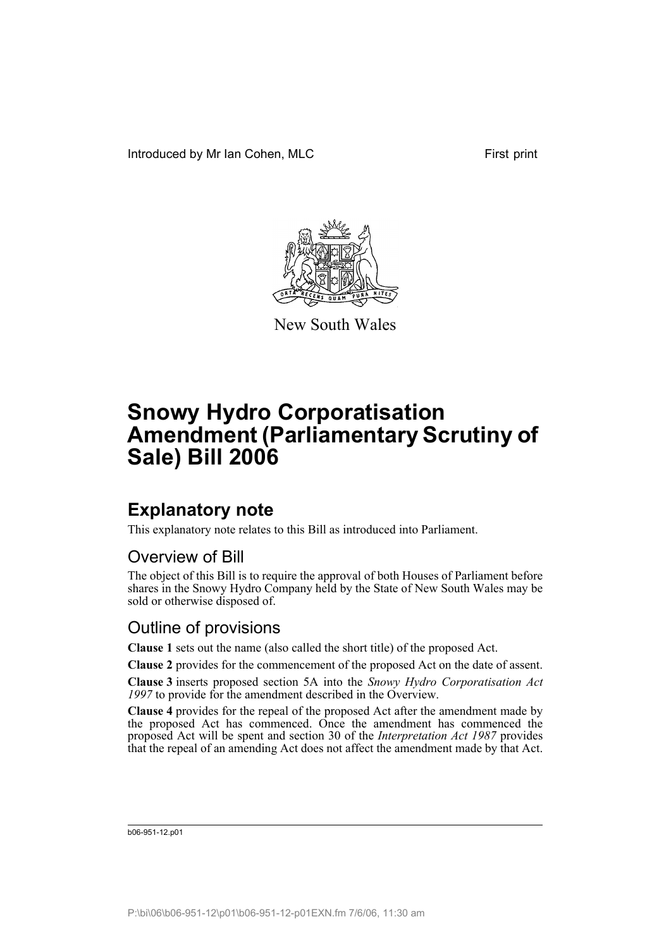Introduced by Mr Ian Cohen, MLC First print



New South Wales

# **Snowy Hydro Corporatisation Amendment (Parliamentary Scrutiny of Sale) Bill 2006**

## **Explanatory note**

This explanatory note relates to this Bill as introduced into Parliament.

#### Overview of Bill

The object of this Bill is to require the approval of both Houses of Parliament before shares in the Snowy Hydro Company held by the State of New South Wales may be sold or otherwise disposed of.

#### Outline of provisions

**Clause 1** sets out the name (also called the short title) of the proposed Act.

**Clause 2** provides for the commencement of the proposed Act on the date of assent.

**Clause 3** inserts proposed section 5A into the *Snowy Hydro Corporatisation Act 1997* to provide for the amendment described in the Overview.

**Clause 4** provides for the repeal of the proposed Act after the amendment made by the proposed Act has commenced. Once the amendment has commenced the proposed Act will be spent and section 30 of the *Interpretation Act 1987* provides that the repeal of an amending Act does not affect the amendment made by that Act.

b06-951-12.p01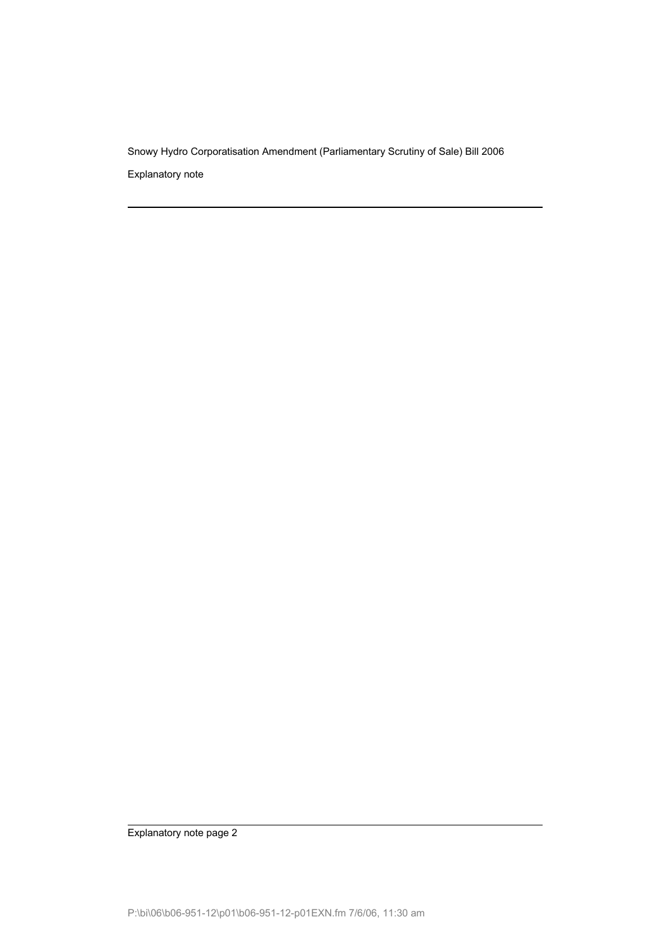Snowy Hydro Corporatisation Amendment (Parliamentary Scrutiny of Sale) Bill 2006

Explanatory note

Explanatory note page 2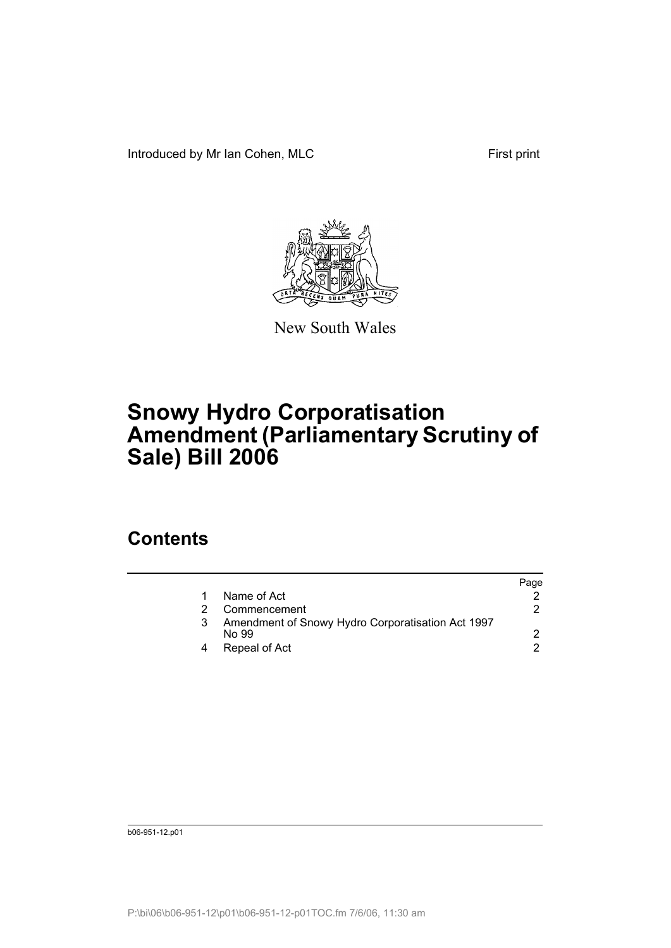Introduced by Mr Ian Cohen, MLC First print



New South Wales

## **Snowy Hydro Corporatisation Amendment (Parliamentary Scrutiny of Sale) Bill 2006**

### **Contents**

|  |                                                   | Page |
|--|---------------------------------------------------|------|
|  | Name of Act                                       |      |
|  | Commencement                                      |      |
|  | Amendment of Snowy Hydro Corporatisation Act 1997 |      |
|  | No 99                                             | 2    |
|  | Repeal of Act                                     | 2    |
|  |                                                   |      |

b06-951-12.p01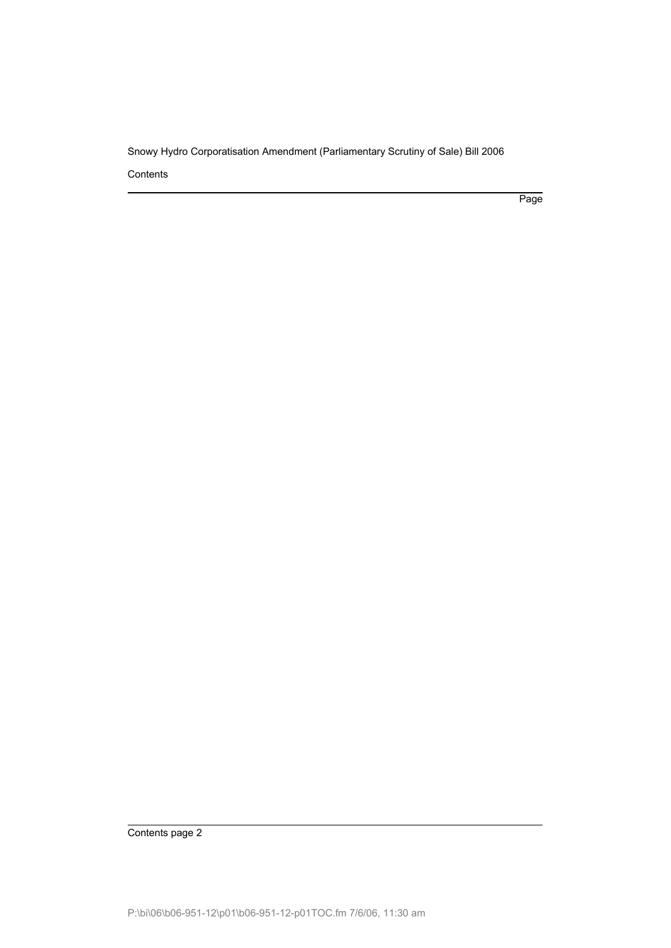Snowy Hydro Corporatisation Amendment (Parliamentary Scrutiny of Sale) Bill 2006

Contents

Page

Contents page 2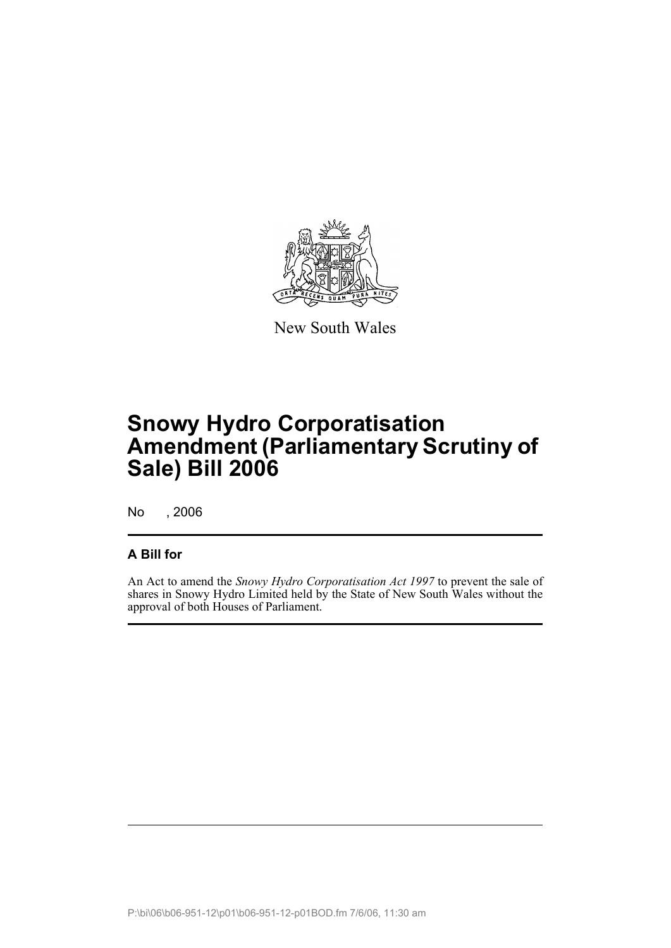

New South Wales

# **Snowy Hydro Corporatisation Amendment (Parliamentary Scrutiny of Sale) Bill 2006**

No , 2006

#### **A Bill for**

An Act to amend the *Snowy Hydro Corporatisation Act 1997* to prevent the sale of shares in Snowy Hydro Limited held by the State of New South Wales without the approval of both Houses of Parliament.